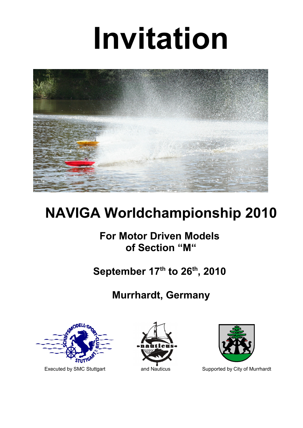# **Invitation**



# **NAVIGA Worldchampionship 2010**

#### **For Motor Driven Models of Section "M"**

## **September 17th to 26th, 2010**

## **Murrhardt, Germany**







Executed by SMC Stuttgart and Nauticus Supported by City of Murrhardt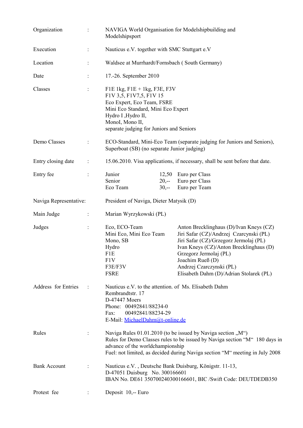| Organization           |                | NAVIGA World Organisation for Modelshipbuilding and<br>Modelshipsport                                                                                                                                                                                           |                    |                                                                                                                                                                                                                                                                                              |  |
|------------------------|----------------|-----------------------------------------------------------------------------------------------------------------------------------------------------------------------------------------------------------------------------------------------------------------|--------------------|----------------------------------------------------------------------------------------------------------------------------------------------------------------------------------------------------------------------------------------------------------------------------------------------|--|
| Execution              |                | Nauticus e.V. together with SMC Stuttgart e.V                                                                                                                                                                                                                   |                    |                                                                                                                                                                                                                                                                                              |  |
| Location               |                | Waldsee at Murrhardt/Fornsbach (South Germany)                                                                                                                                                                                                                  |                    |                                                                                                                                                                                                                                                                                              |  |
| Date                   |                | 17.-26. September 2010                                                                                                                                                                                                                                          |                    |                                                                                                                                                                                                                                                                                              |  |
| Classes                |                | F1E 1kg, $F1E + 1kg$ , F3E, F3V<br>F1V 3,5, F1V7,5, F1V 15<br>Eco Expert, Eco Team, FSRE<br>Mini Eco Standard, Mini Eco Expert<br>Hydro I , Hydro II,<br>MonoI, Mono II,<br>separate judging for Juniors and Seniors                                            |                    |                                                                                                                                                                                                                                                                                              |  |
| Demo Classes           |                | ECO-Standard, Mini-Eco Team (separate judging for Juniors and Seniors),<br>Superboat (SB) (no separate Junior judging)                                                                                                                                          |                    |                                                                                                                                                                                                                                                                                              |  |
| Entry closing date     | $\ddot{\cdot}$ | 15.06.2010. Visa applications, if necessary, shall be sent before that date.                                                                                                                                                                                    |                    |                                                                                                                                                                                                                                                                                              |  |
| Entry fee              |                | Junior<br>Senior<br>Eco Team                                                                                                                                                                                                                                    | $20, -$<br>$30, -$ | 12,50 Euro per Class<br>Euro per Class<br>Euro per Team                                                                                                                                                                                                                                      |  |
| Naviga Representative: |                | President of Naviga, Dieter Matysik (D)                                                                                                                                                                                                                         |                    |                                                                                                                                                                                                                                                                                              |  |
| Main Judge             |                | Marian Wyrzykowski (PL)                                                                                                                                                                                                                                         |                    |                                                                                                                                                                                                                                                                                              |  |
| Judges                 |                | Eco, ECO-Team<br>Mini Eco, Mini Eco Team<br>Mono, SB<br>Hydro<br>F1E<br>F1V<br>F3E/F3V<br><b>FSRE</b>                                                                                                                                                           |                    | Anton Brecklinghaus (D)/Ivan Kneys (CZ)<br>Jiri Safar (CZ)/Andrzej Czarcynski (PL)<br>Jiri Safar (CZ)/Grzegorz Jermolaj (PL)<br>Ivan Kneys (CZ)/Anton Brecklinghaus (D)<br>Grzegorz Jermolaj (PL)<br>Joachim Rueß (D)<br>Andrzej Czarczynski (PL)<br>Elisabeth Dahm (D)/Adrian Stolarek (PL) |  |
| Address for Entries    |                | Nauticus e.V. to the attention. of Ms. Elisabeth Dahm<br>Rembrandtstr. 17<br>D-47447 Moers<br>Phone: 00492841/88234-0<br>Fax:<br>00492841/88234-29<br>E-Mail: MichaelDahm@t-online.de                                                                           |                    |                                                                                                                                                                                                                                                                                              |  |
| Rules                  |                | Naviga Rules 01.01.2010 (to be issued by Naviga section "M")<br>Rules for Demo Classes rules to be issued by Naviga section "M" 180 days in<br>advance of the worldchampionship<br>Fuel: not limited, as decided during Naviga section "M" meeting in July 2008 |                    |                                                                                                                                                                                                                                                                                              |  |
| <b>Bank Account</b>    |                | Nauticus e.V., Deutsche Bank Duisburg, Königstr. 11-13,<br>D-47051 Duisburg No. 300166601<br>IBAN No. DE61 350700240300166601, BIC /Swift Code: DEUTDEDB350                                                                                                     |                    |                                                                                                                                                                                                                                                                                              |  |
| Protest fee            |                | Deposit 10,-- Euro                                                                                                                                                                                                                                              |                    |                                                                                                                                                                                                                                                                                              |  |